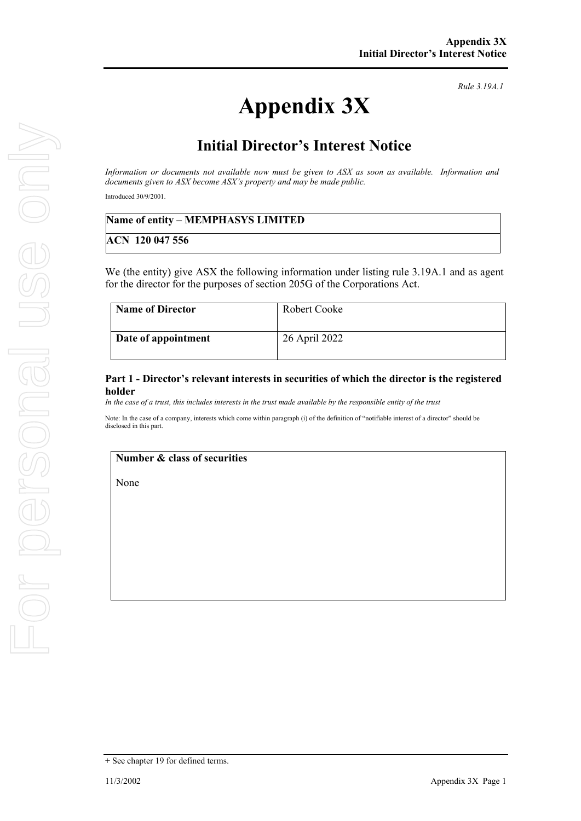# **Appendix 3X**

*Rule 3.19A.1*

# **Initial Director's Interest Notice**

*Information or documents not available now must be given to ASX as soon as available. Information and documents given to ASX become ASX's property and may be made public.*

Introduced 30/9/2001.

### **Name of entity – MEMPHASYS LIMITED**

**ACN 120 047 556**

We (the entity) give ASX the following information under listing rule 3.19A.1 and as agent for the director for the purposes of section 205G of the Corporations Act.

| <b>Name of Director</b> | Robert Cooke  |
|-------------------------|---------------|
| Date of appointment     | 26 April 2022 |

#### **Part 1 - Director's relevant interests in securities of which the director is the registered holder**

*In the case of a trust, this includes interests in the trust made available by the responsible entity of the trust*

Note: In the case of a company, interests which come within paragraph (i) of the definition of "notifiable interest of a director" should be disclosed in this part.

# **Number & class of securities**

None

<sup>+</sup> See chapter 19 for defined terms.